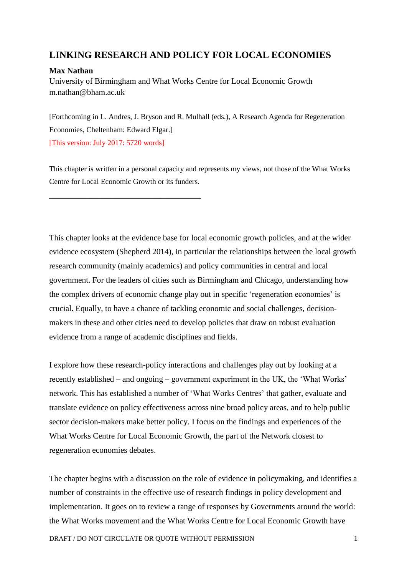# **LINKING RESEARCH AND POLICY FOR LOCAL ECONOMIES**

# **Max Nathan**

University of Birmingham and What Works Centre for Local Economic Growth m.nathan@bham.ac.uk

**\_\_\_\_\_\_\_\_\_\_\_\_\_\_\_\_\_\_\_\_\_\_\_\_\_\_\_\_\_\_\_\_\_\_\_\_\_**

[Forthcoming in L. Andres, J. Bryson and R. Mulhall (eds.), A Research Agenda for Regeneration Economies, Cheltenham: Edward Elgar.] [This version: July 2017: 5720 words]

This chapter is written in a personal capacity and represents my views, not those of the What Works Centre for Local Economic Growth or its funders.

This chapter looks at the evidence base for local economic growth policies, and at the wider evidence ecosystem [\(Shepherd 2014\)](#page-15-0), in particular the relationships between the local growth research community (mainly academics) and policy communities in central and local government. For the leaders of cities such as Birmingham and Chicago, understanding how the complex drivers of economic change play out in specific 'regeneration economies' is crucial. Equally, to have a chance of tackling economic and social challenges, decisionmakers in these and other cities need to develop policies that draw on robust evaluation evidence from a range of academic disciplines and fields.

I explore how these research-policy interactions and challenges play out by looking at a recently established – and ongoing – government experiment in the UK, the 'What Works' network. This has established a number of 'What Works Centres' that gather, evaluate and translate evidence on policy effectiveness across nine broad policy areas, and to help public sector decision-makers make better policy. I focus on the findings and experiences of the What Works Centre for Local Economic Growth, the part of the Network closest to regeneration economies debates.

The chapter begins with a discussion on the role of evidence in policymaking, and identifies a number of constraints in the effective use of research findings in policy development and implementation. It goes on to review a range of responses by Governments around the world: the What Works movement and the What Works Centre for Local Economic Growth have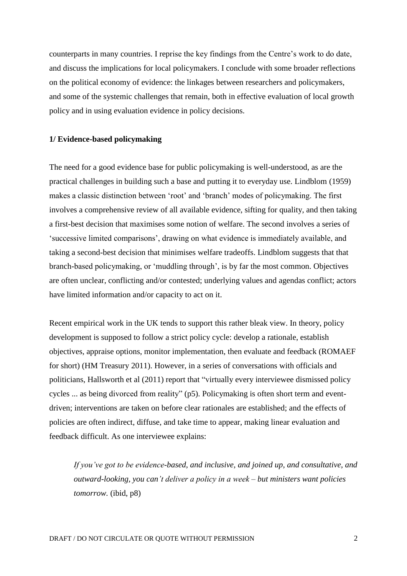counterparts in many countries. I reprise the key findings from the Centre's work to do date, and discuss the implications for local policymakers. I conclude with some broader reflections on the political economy of evidence: the linkages between researchers and policymakers, and some of the systemic challenges that remain, both in effective evaluation of local growth policy and in using evaluation evidence in policy decisions.

# **1/ Evidence-based policymaking**

The need for a good evidence base for public policymaking is well-understood, as are the practical challenges in building such a base and putting it to everyday use. Lindblom [\(1959\)](#page-14-0) makes a classic distinction between 'root' and 'branch' modes of policymaking. The first involves a comprehensive review of all available evidence, sifting for quality, and then taking a first-best decision that maximises some notion of welfare. The second involves a series of 'successive limited comparisons', drawing on what evidence is immediately available, and taking a second-best decision that minimises welfare tradeoffs. Lindblom suggests that that branch-based policymaking, or 'muddling through', is by far the most common. Objectives are often unclear, conflicting and/or contested; underlying values and agendas conflict; actors have limited information and/or capacity to act on it.

Recent empirical work in the UK tends to support this rather bleak view. In theory, policy development is supposed to follow a strict policy cycle: develop a rationale, establish objectives, appraise options, monitor implementation, then evaluate and feedback (ROMAEF for short) [\(HM Treasury 2011\)](#page-14-1). However, in a series of conversations with officials and politicians, Hallsworth et al [\(2011\)](#page-14-2) report that "virtually every interviewee dismissed policy cycles ... as being divorced from reality" (p5). Policymaking is often short term and eventdriven; interventions are taken on before clear rationales are established; and the effects of policies are often indirect, diffuse, and take time to appear, making linear evaluation and feedback difficult. As one interviewee explains:

*If you've got to be evidence-based, and inclusive, and joined up, and consultative, and outward-looking, you can't deliver a policy in a week – but ministers want policies tomorrow.* (ibid, p8)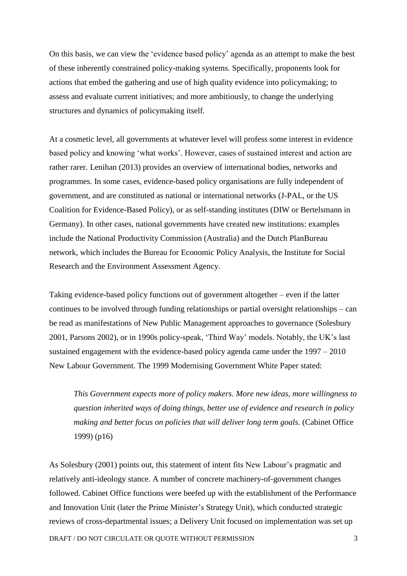On this basis, we can view the 'evidence based policy' agenda as an attempt to make the best of these inherently constrained policy-making systems. Specifically, proponents look for actions that embed the gathering and use of high quality evidence into policymaking; to assess and evaluate current initiatives; and more ambitiously, to change the underlying structures and dynamics of policymaking itself.

At a cosmetic level, all governments at whatever level will profess some interest in evidence based policy and knowing 'what works'. However, cases of sustained interest and action are rather rarer. Lenihan [\(2013\)](#page-14-3) provides an overview of international bodies, networks and programmes. In some cases, evidence-based policy organisations are fully independent of government, and are constituted as national or international networks (J-PAL, or the US Coalition for Evidence-Based Policy), or as self-standing institutes (DIW or Bertelsmann in Germany). In other cases, national governments have created new institutions: examples include the National Productivity Commission (Australia) and the Dutch PlanBureau network, which includes the Bureau for Economic Policy Analysis, the Institute for Social Research and the Environment Assessment Agency.

Taking evidence-based policy functions out of government altogether – even if the latter continues to be involved through funding relationships or partial oversight relationships – can be read as manifestations of New Public Management approaches to governance [\(Solesbury](#page-15-1)  [2001,](#page-15-1) [Parsons 2002\)](#page-14-4), or in 1990s policy-speak, 'Third Way' models. Notably, the UK's last sustained engagement with the evidence-based policy agenda came under the 1997 – 2010 New Labour Government. The 1999 Modernising Government White Paper stated:

*This Government expects more of policy makers. More new ideas, more willingness to question inherited ways of doing things, better use of evidence and research in policy making and better focus on policies that will deliver long term goals.* [\(Cabinet Office](#page-14-5)  [1999\)](#page-14-5) (p16)

DRAFT / DO NOT CIRCULATE OR QUOTE WITHOUT PERMISSION 3 As Solesbury [\(2001\)](#page-15-1) points out, this statement of intent fits New Labour's pragmatic and relatively anti-ideology stance. A number of concrete machinery-of-government changes followed. Cabinet Office functions were beefed up with the establishment of the Performance and Innovation Unit (later the Prime Minister's Strategy Unit), which conducted strategic reviews of cross-departmental issues; a Delivery Unit focused on implementation was set up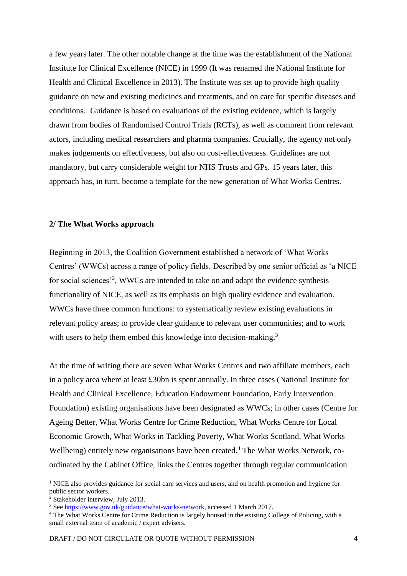a few years later. The other notable change at the time was the establishment of the National Institute for Clinical Excellence (NICE) in 1999 (It was renamed the National Institute for Health and Clinical Excellence in 2013). The Institute was set up to provide high quality guidance on new and existing medicines and treatments, and on care for specific diseases and conditions.<sup>1</sup> Guidance is based on evaluations of the existing evidence, which is largely drawn from bodies of Randomised Control Trials (RCTs), as well as comment from relevant actors, including medical researchers and pharma companies. Crucially, the agency not only makes judgements on effectiveness, but also on cost-effectiveness. Guidelines are not mandatory, but carry considerable weight for NHS Trusts and GPs. 15 years later, this approach has, in turn, become a template for the new generation of What Works Centres.

#### **2/ The What Works approach**

Beginning in 2013, the Coalition Government established a network of 'What Works Centres' (WWCs) across a range of policy fields. Described by one senior official as 'a NICE for social sciences<sup>2</sup>, WWCs are intended to take on and adapt the evidence synthesis functionality of NICE, as well as its emphasis on high quality evidence and evaluation. WWCs have three common functions: to systematically review existing evaluations in relevant policy areas; to provide clear guidance to relevant user communities; and to work with users to help them embed this knowledge into decision-making.<sup>3</sup>

At the time of writing there are seven What Works Centres and two affiliate members, each in a policy area where at least £30bn is spent annually. In three cases (National Institute for Health and Clinical Excellence, Education Endowment Foundation, Early Intervention Foundation) existing organisations have been designated as WWCs; in other cases (Centre for Ageing Better, What Works Centre for Crime Reduction, What Works Centre for Local Economic Growth, What Works in Tackling Poverty, What Works Scotland, What Works Wellbeing) entirely new organisations have been created.<sup>4</sup> The What Works Network, coordinated by the Cabinet Office, links the Centres together through regular communication

**.** 

 $1$  NICE also provides guidance for social care services and users, and on health promotion and hygiene for public sector workers.

Stakeholder interview, July 2013.

<sup>3</sup> Se[e https://www.gov.uk/guidance/what-works-network,](https://www.gov.uk/guidance/what-works-network) accessed 1 March 2017.

<sup>4</sup> The What Works Centre for Crime Reduction is largely housed in the existing College of Policing, with a small external team of academic / expert advisers.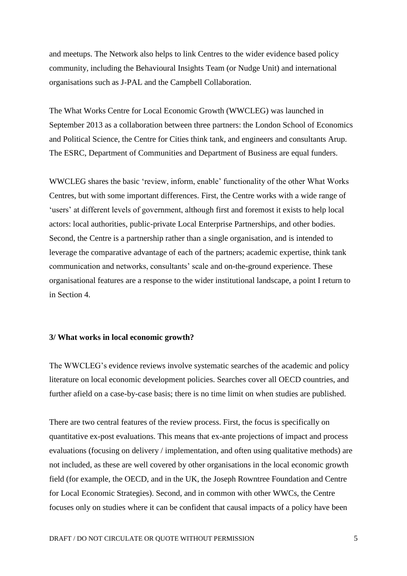and meetups. The Network also helps to link Centres to the wider evidence based policy community, including the Behavioural Insights Team (or Nudge Unit) and international organisations such as J-PAL and the Campbell Collaboration.

The What Works Centre for Local Economic Growth (WWCLEG) was launched in September 2013 as a collaboration between three partners: the London School of Economics and Political Science, the Centre for Cities think tank, and engineers and consultants Arup. The ESRC, Department of Communities and Department of Business are equal funders.

WWCLEG shares the basic 'review, inform, enable' functionality of the other What Works Centres, but with some important differences. First, the Centre works with a wide range of 'users' at different levels of government, although first and foremost it exists to help local actors: local authorities, public-private Local Enterprise Partnerships, and other bodies. Second, the Centre is a partnership rather than a single organisation, and is intended to leverage the comparative advantage of each of the partners; academic expertise, think tank communication and networks, consultants' scale and on-the-ground experience. These organisational features are a response to the wider institutional landscape, a point I return to in Section 4.

# **3/ What works in local economic growth?**

The WWCLEG's evidence reviews involve systematic searches of the academic and policy literature on local economic development policies. Searches cover all OECD countries, and further afield on a case-by-case basis; there is no time limit on when studies are published.

There are two central features of the review process. First, the focus is specifically on quantitative ex-post evaluations. This means that ex-ante projections of impact and process evaluations (focusing on delivery / implementation, and often using qualitative methods) are not included, as these are well covered by other organisations in the local economic growth field (for example, the OECD, and in the UK, the Joseph Rowntree Foundation and Centre for Local Economic Strategies). Second, and in common with other WWCs, the Centre focuses only on studies where it can be confident that causal impacts of a policy have been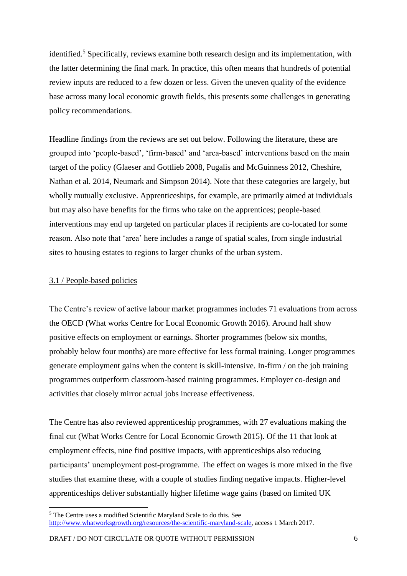identified.<sup>5</sup> Specifically, reviews examine both research design and its implementation, with the latter determining the final mark. In practice, this often means that hundreds of potential review inputs are reduced to a few dozen or less. Given the uneven quality of the evidence base across many local economic growth fields, this presents some challenges in generating policy recommendations.

Headline findings from the reviews are set out below. Following the literature, these are grouped into 'people-based', 'firm-based' and 'area-based' interventions based on the main target of the policy [\(Glaeser and Gottlieb 2008,](#page-14-6) [Pugalis and McGuinness 2012,](#page-15-2) [Cheshire,](#page-14-7)  [Nathan et al. 2014,](#page-14-7) [Neumark and Simpson 2014\)](#page-14-8). Note that these categories are largely, but wholly mutually exclusive. Apprenticeships, for example, are primarily aimed at individuals but may also have benefits for the firms who take on the apprentices; people-based interventions may end up targeted on particular places if recipients are co-located for some reason. Also note that 'area' here includes a range of spatial scales, from single industrial sites to housing estates to regions to larger chunks of the urban system.

# 3.1 / People-based policies

1

The Centre's review of active labour market programmes includes 71 evaluations from across the OECD [\(What works Centre for Local Economic Growth 2016\)](#page-15-3). Around half show positive effects on employment or earnings. Shorter programmes (below six months, probably below four months) are more effective for less formal training. Longer programmes generate employment gains when the content is skill-intensive. In-firm / on the job training programmes outperform classroom-based training programmes. Employer co-design and activities that closely mirror actual jobs increase effectiveness.

The Centre has also reviewed apprenticeship programmes, with 27 evaluations making the final cut [\(What Works Centre for Local Economic Growth 2015\)](#page-15-4). Of the 11 that look at employment effects, nine find positive impacts, with apprenticeships also reducing participants' unemployment post-programme. The effect on wages is more mixed in the five studies that examine these, with a couple of studies finding negative impacts. Higher-level apprenticeships deliver substantially higher lifetime wage gains (based on limited UK

DRAFT / DO NOT CIRCULATE OR QUOTE WITHOUT PERMISSION 6

<sup>5</sup> The Centre uses a modified Scientific Maryland Scale to do this. See [http://www.whatworksgrowth.org/resources/the-scientific-maryland-scale,](http://www.whatworksgrowth.org/resources/the-scientific-maryland-scale) access 1 March 2017.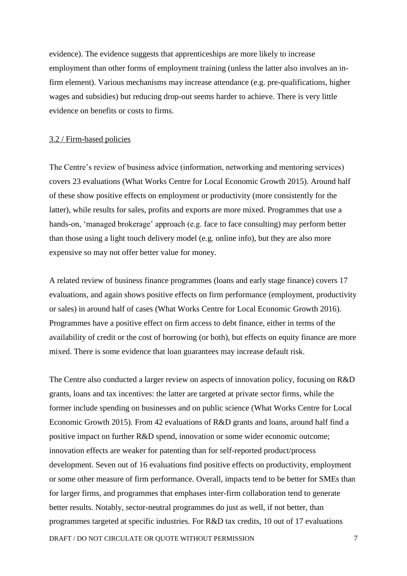evidence). The evidence suggests that apprenticeships are more likely to increase employment than other forms of employment training (unless the latter also involves an infirm element). Various mechanisms may increase attendance (e.g. pre-qualifications, higher wages and subsidies) but reducing drop-out seems harder to achieve. There is very little evidence on benefits or costs to firms.

#### 3.2 / Firm-based policies

The Centre's review of business advice (information, networking and mentoring services) covers 23 evaluations [\(What Works Centre for Local Economic Growth 2015\)](#page-15-5). Around half of these show positive effects on employment or productivity (more consistently for the latter), while results for sales, profits and exports are more mixed. Programmes that use a hands-on, 'managed brokerage' approach (e.g. face to face consulting) may perform better than those using a light touch delivery model (e.g. online info), but they are also more expensive so may not offer better value for money.

A related review of business finance programmes (loans and early stage finance) covers 17 evaluations, and again shows positive effects on firm performance (employment, productivity or sales) in around half of cases [\(What Works Centre for Local Economic Growth 2016\)](#page-15-6). Programmes have a positive effect on firm access to debt finance, either in terms of the availability of credit or the cost of borrowing (or both), but effects on equity finance are more mixed. There is some evidence that loan guarantees may increase default risk.

DRAFT / DO NOT CIRCULATE OR QUOTE WITHOUT PERMISSION 7 The Centre also conducted a larger review on aspects of innovation policy, focusing on R&D grants, loans and tax incentives: the latter are targeted at private sector firms, while the former include spending on businesses and on public science [\(What Works Centre for Local](#page-15-7)  [Economic Growth 2015\)](#page-15-7). From 42 evaluations of R&D grants and loans, around half find a positive impact on further R&D spend, innovation or some wider economic outcome; innovation effects are weaker for patenting than for self-reported product/process development. Seven out of 16 evaluations find positive effects on productivity, employment or some other measure of firm performance. Overall, impacts tend to be better for SMEs than for larger firms, and programmes that emphases inter-firm collaboration tend to generate better results. Notably, sector-neutral programmes do just as well, if not better, than programmes targeted at specific industries. For R&D tax credits, 10 out of 17 evaluations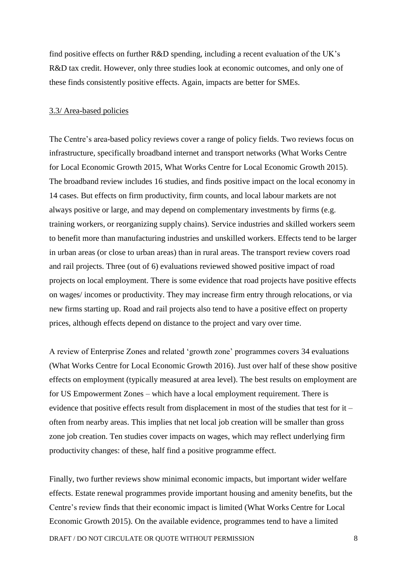find positive effects on further R&D spending, including a recent evaluation of the UK's R&D tax credit. However, only three studies look at economic outcomes, and only one of these finds consistently positive effects. Again, impacts are better for SMEs.

#### 3.3/ Area-based policies

The Centre's area-based policy reviews cover a range of policy fields. Two reviews focus on infrastructure, specifically broadband internet and transport networks [\(What Works Centre](#page-15-8)  [for Local Economic Growth 2015,](#page-15-8) [What Works Centre for Local Economic Growth 2015\)](#page-15-9). The broadband review includes 16 studies, and finds positive impact on the local economy in 14 cases. But effects on firm productivity, firm counts, and local labour markets are not always positive or large, and may depend on complementary investments by firms (e.g. training workers, or reorganizing supply chains). Service industries and skilled workers seem to benefit more than manufacturing industries and unskilled workers. Effects tend to be larger in urban areas (or close to urban areas) than in rural areas. The transport review covers road and rail projects. Three (out of 6) evaluations reviewed showed positive impact of road projects on local employment. There is some evidence that road projects have positive effects on wages/ incomes or productivity. They may increase firm entry through relocations, or via new firms starting up. Road and rail projects also tend to have a positive effect on property prices, although effects depend on distance to the project and vary over time.

A review of Enterprise Zones and related 'growth zone' programmes covers 34 evaluations [\(What Works Centre for Local Economic Growth 2016\)](#page-15-10). Just over half of these show positive effects on employment (typically measured at area level). The best results on employment are for US Empowerment Zones – which have a local employment requirement. There is evidence that positive effects result from displacement in most of the studies that test for it – often from nearby areas. This implies that net local job creation will be smaller than gross zone job creation. Ten studies cover impacts on wages, which may reflect underlying firm productivity changes: of these, half find a positive programme effect.

DRAFT / DO NOT CIRCULATE OR QUOTE WITHOUT PERMISSION 8 Finally, two further reviews show minimal economic impacts, but important wider welfare effects. Estate renewal programmes provide important housing and amenity benefits, but the Centre's review finds that their economic impact is limited [\(What Works Centre for Local](#page-15-11)  [Economic Growth 2015\)](#page-15-11). On the available evidence, programmes tend to have a limited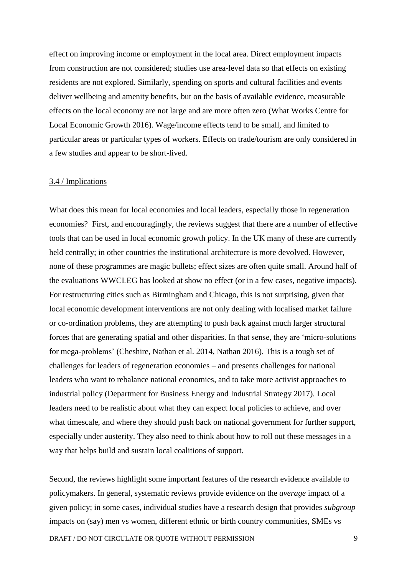effect on improving income or employment in the local area. Direct employment impacts from construction are not considered; studies use area-level data so that effects on existing residents are not explored. Similarly, spending on sports and cultural facilities and events deliver wellbeing and amenity benefits, but on the basis of available evidence, measurable effects on the local economy are not large and are more often zero [\(What Works Centre for](#page-15-12)  [Local Economic Growth 2016\)](#page-15-12). Wage/income effects tend to be small, and limited to particular areas or particular types of workers. Effects on trade/tourism are only considered in a few studies and appear to be short-lived.

#### 3.4 / Implications

What does this mean for local economies and local leaders, especially those in regeneration economies? First, and encouragingly, the reviews suggest that there are a number of effective tools that can be used in local economic growth policy. In the UK many of these are currently held centrally; in other countries the institutional architecture is more devolved. However, none of these programmes are magic bullets; effect sizes are often quite small. Around half of the evaluations WWCLEG has looked at show no effect (or in a few cases, negative impacts). For restructuring cities such as Birmingham and Chicago, this is not surprising, given that local economic development interventions are not only dealing with localised market failure or co-ordination problems, they are attempting to push back against much larger structural forces that are generating spatial and other disparities. In that sense, they are 'micro-solutions for mega-problems' [\(Cheshire, Nathan et al. 2014,](#page-14-7) [Nathan 2016\)](#page-14-9). This is a tough set of challenges for leaders of regeneration economies – and presents challenges for national leaders who want to rebalance national economies, and to take more activist approaches to industrial policy [\(Department for Business Energy and Industrial Strategy 2017\)](#page-14-10). Local leaders need to be realistic about what they can expect local policies to achieve, and over what timescale, and where they should push back on national government for further support, especially under austerity. They also need to think about how to roll out these messages in a way that helps build and sustain local coalitions of support.

DRAFT / DO NOT CIRCULATE OR QUOTE WITHOUT PERMISSION 9 Second, the reviews highlight some important features of the research evidence available to policymakers. In general, systematic reviews provide evidence on the *average* impact of a given policy; in some cases, individual studies have a research design that provides *subgroup* impacts on (say) men vs women, different ethnic or birth country communities, SMEs vs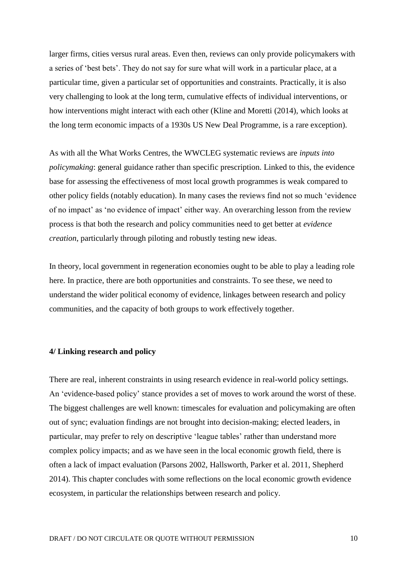larger firms, cities versus rural areas. Even then, reviews can only provide policymakers with a series of 'best bets'. They do not say for sure what will work in a particular place, at a particular time, given a particular set of opportunities and constraints. Practically, it is also very challenging to look at the long term, cumulative effects of individual interventions, or how interventions might interact with each other (Kline and Moretti [\(2014\)](#page-14-11), which looks at the long term economic impacts of a 1930s US New Deal Programme, is a rare exception).

As with all the What Works Centres, the WWCLEG systematic reviews are *inputs into policymaking*: general guidance rather than specific prescription. Linked to this, the evidence base for assessing the effectiveness of most local growth programmes is weak compared to other policy fields (notably education). In many cases the reviews find not so much 'evidence of no impact' as 'no evidence of impact' either way. An overarching lesson from the review process is that both the research and policy communities need to get better at *evidence creation*, particularly through piloting and robustly testing new ideas.

In theory, local government in regeneration economies ought to be able to play a leading role here. In practice, there are both opportunities and constraints. To see these, we need to understand the wider political economy of evidence, linkages between research and policy communities, and the capacity of both groups to work effectively together.

# **4/ Linking research and policy**

There are real, inherent constraints in using research evidence in real-world policy settings. An 'evidence-based policy' stance provides a set of moves to work around the worst of these. The biggest challenges are well known: timescales for evaluation and policymaking are often out of sync; evaluation findings are not brought into decision-making; elected leaders, in particular, may prefer to rely on descriptive 'league tables' rather than understand more complex policy impacts; and as we have seen in the local economic growth field, there is often a lack of impact evaluation [\(Parsons 2002,](#page-14-4) [Hallsworth, Parker et al. 2011,](#page-14-2) [Shepherd](#page-15-0)  [2014\)](#page-15-0). This chapter concludes with some reflections on the local economic growth evidence ecosystem, in particular the relationships between research and policy.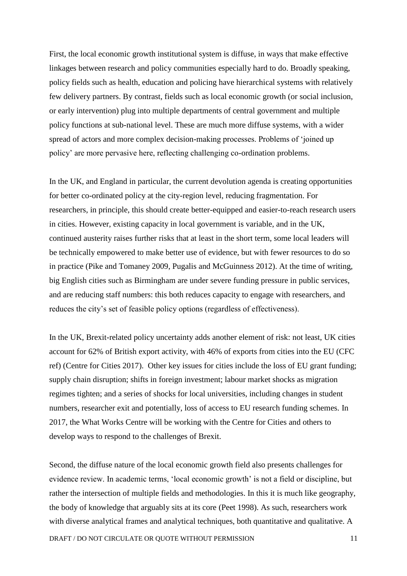First, the local economic growth institutional system is diffuse, in ways that make effective linkages between research and policy communities especially hard to do. Broadly speaking, policy fields such as health, education and policing have hierarchical systems with relatively few delivery partners. By contrast, fields such as local economic growth (or social inclusion, or early intervention) plug into multiple departments of central government and multiple policy functions at sub-national level. These are much more diffuse systems, with a wider spread of actors and more complex decision-making processes. Problems of 'joined up policy' are more pervasive here, reflecting challenging co-ordination problems.

In the UK, and England in particular, the current devolution agenda is creating opportunities for better co-ordinated policy at the city-region level, reducing fragmentation. For researchers, in principle, this should create better-equipped and easier-to-reach research users in cities. However, existing capacity in local government is variable, and in the UK, continued austerity raises further risks that at least in the short term, some local leaders will be technically empowered to make better use of evidence, but with fewer resources to do so in practice [\(Pike and Tomaney 2009,](#page-15-13) [Pugalis and McGuinness 2012\)](#page-15-2). At the time of writing, big English cities such as Birmingham are under severe funding pressure in public services, and are reducing staff numbers: this both reduces capacity to engage with researchers, and reduces the city's set of feasible policy options (regardless of effectiveness).

In the UK, Brexit-related policy uncertainty adds another element of risk: not least, UK cities account for 62% of British export activity, with 46% of exports from cities into the EU (CFC ref) [\(Centre for Cities 2017\)](#page-14-12). Other key issues for cities include the loss of EU grant funding; supply chain disruption; shifts in foreign investment; labour market shocks as migration regimes tighten; and a series of shocks for local universities, including changes in student numbers, researcher exit and potentially, loss of access to EU research funding schemes. In 2017, the What Works Centre will be working with the Centre for Cities and others to develop ways to respond to the challenges of Brexit.

DRAFT / DO NOT CIRCULATE OR OUOTE WITHOUT PERMISSION 11 Second, the diffuse nature of the local economic growth field also presents challenges for evidence review. In academic terms, 'local economic growth' is not a field or discipline, but rather the intersection of multiple fields and methodologies. In this it is much like geography, the body of knowledge that arguably sits at its core [\(Peet 1998\)](#page-15-14). As such, researchers work with diverse analytical frames and analytical techniques, both quantitative and qualitative. A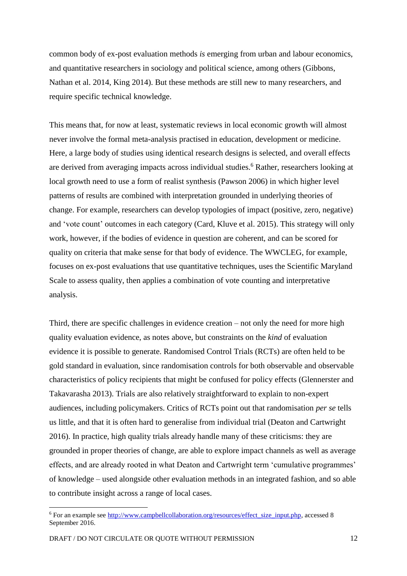common body of ex-post evaluation methods *is* emerging from urban and labour economics, and quantitative researchers in sociology and political science, among others [\(Gibbons,](#page-14-13)  [Nathan et al. 2014,](#page-14-13) [King 2014\)](#page-14-14). But these methods are still new to many researchers, and require specific technical knowledge.

This means that, for now at least, systematic reviews in local economic growth will almost never involve the formal meta-analysis practised in education, development or medicine. Here, a large body of studies using identical research designs is selected, and overall effects are derived from averaging impacts across individual studies. <sup>6</sup> Rather, researchers looking at local growth need to use a form of realist synthesis [\(Pawson 2006\)](#page-14-15) in which higher level patterns of results are combined with interpretation grounded in underlying theories of change. For example, researchers can develop typologies of impact (positive, zero, negative) and 'vote count' outcomes in each category [\(Card, Kluve et al. 2015\)](#page-14-16). This strategy will only work, however, if the bodies of evidence in question are coherent, and can be scored for quality on criteria that make sense for that body of evidence. The WWCLEG, for example, focuses on ex-post evaluations that use quantitative techniques, uses the Scientific Maryland Scale to assess quality, then applies a combination of vote counting and interpretative analysis.

Third, there are specific challenges in evidence creation – not only the need for more high quality evaluation evidence, as notes above, but constraints on the *kind* of evaluation evidence it is possible to generate. Randomised Control Trials (RCTs) are often held to be gold standard in evaluation, since randomisation controls for both observable and observable characteristics of policy recipients that might be confused for policy effects [\(Glennerster and](#page-14-17)  [Takavarasha 2013\)](#page-14-17). Trials are also relatively straightforward to explain to non-expert audiences, including policymakers. Critics of RCTs point out that randomisation *per se* tells us little, and that it is often hard to generalise from individual trial [\(Deaton and Cartwright](#page-14-18)  [2016\)](#page-14-18). In practice, high quality trials already handle many of these criticisms: they are grounded in proper theories of change, are able to explore impact channels as well as average effects, and are already rooted in what Deaton and Cartwright term 'cumulative programmes' of knowledge – used alongside other evaluation methods in an integrated fashion, and so able to contribute insight across a range of local cases.

1

<sup>&</sup>lt;sup>6</sup> For an example see http://www.campbellcollaboration.org/resources/effect size input.php, accessed 8 September 2016.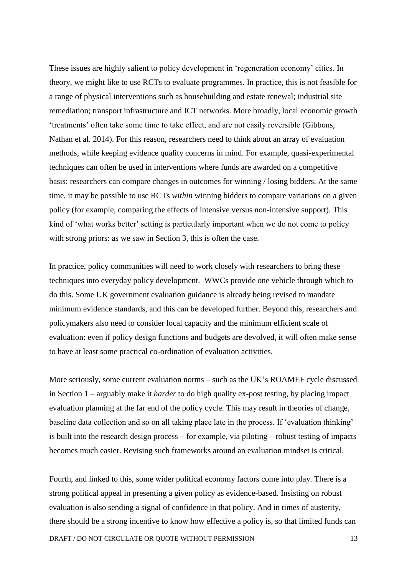These issues are highly salient to policy development in 'regeneration economy' cities. In theory, we might like to use RCTs to evaluate programmes. In practice, this is not feasible for a range of physical interventions such as housebuilding and estate renewal; industrial site remediation; transport infrastructure and ICT networks. More broadly, local economic growth 'treatments' often take some time to take effect, and are not easily reversible [\(Gibbons,](#page-14-13)  [Nathan et al. 2014\)](#page-14-13). For this reason, researchers need to think about an array of evaluation methods, while keeping evidence quality concerns in mind. For example, quasi-experimental techniques can often be used in interventions where funds are awarded on a competitive basis: researchers can compare changes in outcomes for winning / losing bidders. At the same time, it may be possible to use RCTs *within* winning bidders to compare variations on a given policy (for example, comparing the effects of intensive versus non-intensive support). This kind of 'what works better' setting is particularly important when we do not come to policy with strong priors: as we saw in Section 3, this is often the case.

In practice, policy communities will need to work closely with researchers to bring these techniques into everyday policy development. WWCs provide one vehicle through which to do this. Some UK government evaluation guidance is already being revised to mandate minimum evidence standards, and this can be developed further. Beyond this, researchers and policymakers also need to consider local capacity and the minimum efficient scale of evaluation: even if policy design functions and budgets are devolved, it will often make sense to have at least some practical co-ordination of evaluation activities.

More seriously, some current evaluation norms – such as the UK's ROAMEF cycle discussed in Section 1 – arguably make it *harder* to do high quality ex-post testing, by placing impact evaluation planning at the far end of the policy cycle. This may result in theories of change, baseline data collection and so on all taking place late in the process. If 'evaluation thinking' is built into the research design process – for example, via piloting – robust testing of impacts becomes much easier. Revising such frameworks around an evaluation mindset is critical.

DRAFT / DO NOT CIRCULATE OR OUOTE WITHOUT PERMISSION 13 Fourth, and linked to this, some wider political economy factors come into play. There is a strong political appeal in presenting a given policy as evidence-based. Insisting on robust evaluation is also sending a signal of confidence in that policy. And in times of austerity, there should be a strong incentive to know how effective a policy is, so that limited funds can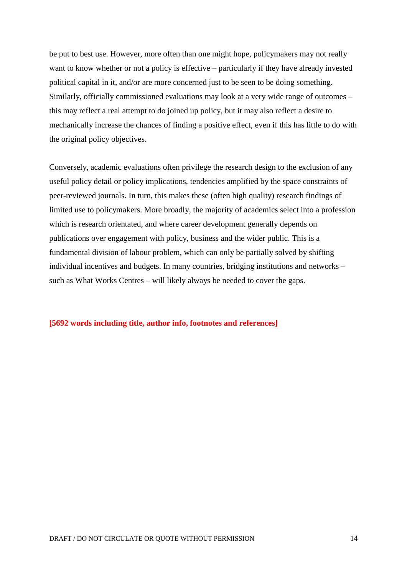be put to best use. However, more often than one might hope, policymakers may not really want to know whether or not a policy is effective – particularly if they have already invested political capital in it, and/or are more concerned just to be seen to be doing something. Similarly, officially commissioned evaluations may look at a very wide range of outcomes – this may reflect a real attempt to do joined up policy, but it may also reflect a desire to mechanically increase the chances of finding a positive effect, even if this has little to do with the original policy objectives.

Conversely, academic evaluations often privilege the research design to the exclusion of any useful policy detail or policy implications, tendencies amplified by the space constraints of peer-reviewed journals. In turn, this makes these (often high quality) research findings of limited use to policymakers. More broadly, the majority of academics select into a profession which is research orientated, and where career development generally depends on publications over engagement with policy, business and the wider public. This is a fundamental division of labour problem, which can only be partially solved by shifting individual incentives and budgets. In many countries, bridging institutions and networks – such as What Works Centres – will likely always be needed to cover the gaps.

# **[5692 words including title, author info, footnotes and references]**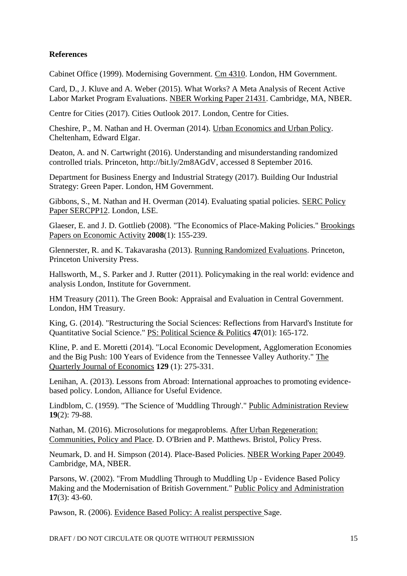# **References**

<span id="page-14-5"></span>Cabinet Office (1999). Modernising Government. Cm 4310. London, HM Government.

<span id="page-14-16"></span>Card, D., J. Kluve and A. Weber (2015). What Works? A Meta Analysis of Recent Active Labor Market Program Evaluations. NBER Working Paper 21431. Cambridge, MA, NBER.

<span id="page-14-12"></span>Centre for Cities (2017). Cities Outlook 2017. London, Centre for Cities.

<span id="page-14-7"></span>Cheshire, P., M. Nathan and H. Overman (2014). Urban Economics and Urban Policy. Cheltenham, Edward Elgar.

<span id="page-14-18"></span>Deaton, A. and N. Cartwright (2016). Understanding and misunderstanding randomized controlled trials. Princeton, http://bit.ly/2m8AGdV, accessed 8 September 2016.

<span id="page-14-10"></span>Department for Business Energy and Industrial Strategy (2017). Building Our Industrial Strategy: Green Paper. London, HM Government.

<span id="page-14-13"></span>Gibbons, S., M. Nathan and H. Overman (2014). Evaluating spatial policies. SERC Policy Paper SERCPP12. London, LSE.

<span id="page-14-6"></span>Glaeser, E. and J. D. Gottlieb (2008). "The Economics of Place-Making Policies." Brookings Papers on Economic Activity **2008**(1): 155-239.

<span id="page-14-17"></span>Glennerster, R. and K. Takavarasha (2013). Running Randomized Evaluations. Princeton, Princeton University Press.

<span id="page-14-2"></span>Hallsworth, M., S. Parker and J. Rutter (2011). Policymaking in the real world: evidence and analysis London, Institute for Government.

<span id="page-14-1"></span>HM Treasury (2011). The Green Book: Appraisal and Evaluation in Central Government. London, HM Treasury.

<span id="page-14-14"></span>King, G. (2014). "Restructuring the Social Sciences: Reflections from Harvard's Institute for Quantitative Social Science." PS: Political Science & Politics **47**(01): 165-172.

<span id="page-14-11"></span>Kline, P. and E. Moretti (2014). "Local Economic Development, Agglomeration Economies and the Big Push: 100 Years of Evidence from the Tennessee Valley Authority." The Quarterly Journal of Economics **129** (1): 275-331.

<span id="page-14-3"></span>Lenihan, A. (2013). Lessons from Abroad: International approaches to promoting evidencebased policy. London, Alliance for Useful Evidence.

<span id="page-14-0"></span>Lindblom, C. (1959). "The Science of 'Muddling Through'." Public Administration Review **19**(2): 79-88.

<span id="page-14-9"></span>Nathan, M. (2016). Microsolutions for megaproblems. After Urban Regeneration: Communities, Policy and Place. D. O'Brien and P. Matthews. Bristol, Policy Press.

<span id="page-14-8"></span>Neumark, D. and H. Simpson (2014). Place-Based Policies. NBER Working Paper 20049. Cambridge, MA, NBER.

<span id="page-14-4"></span>Parsons, W. (2002). "From Muddling Through to Muddling Up - Evidence Based Policy Making and the Modernisation of British Government." Public Policy and Administration **17**(3): 43-60.

<span id="page-14-15"></span>Pawson, R. (2006). Evidence Based Policy: A realist perspective Sage.